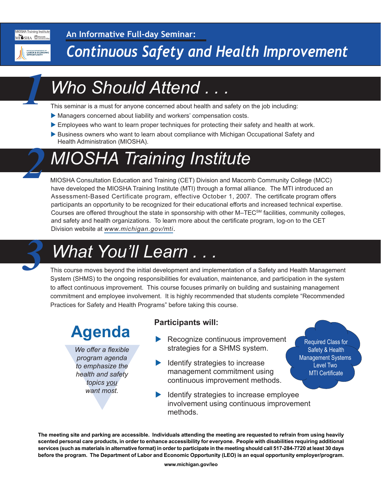**MIOSHA Training Institute** MISHA **WARCOMB** 

*1*

*2*

# *Continuous Safety and Health Improvement*

# *Who Should Attend . . .*

**An Informative Full-day Seminar:**

This seminar is a must for anyone concerned about health and safety on the job including:

- Managers concerned about liability and workers' compensation costs.
- Employees who want to learn proper techniques for protecting their safety and health at work.
- Business owners who want to learn about compliance with Michigan Occupational Safety and Health Administration (MIOSHA).

# *MIOSHA Training Institute*

MIOSHA Consultation Education and Training (CET) Division and Macomb Community College (MCC) have developed the MIOSHA Training Institute (MTI) through a formal alliance. The MTI introduced an Assessment-Based Certificate program, effective October 1, 2007. The certificate program offers participants an opportunity to be recognized for their educational efforts and increased technical expertise. Courses are offered throughout the state in sponsorship with other M–TEC<sup>SM</sup> facilities, community colleges, and safety and health organizations. To learn more about the certificate program, log-on to the CET Division website at *[www.michigan.gov/mti](http://www.michigan.gov/mti)*.

# *What You'll Learn .*

This course moves beyond the initial development and implementation of a Safety and Health Management System (SHMS) to the ongoing responsibilities for evaluation, maintenance, and participation in the system to affect continuous improvement. This course focuses primarily on building and sustaining management commitment and employee involvement. It is highly recommended that students complete "Recommended Practices for Safety and Health Programs" before taking this course.

### **Agenda**

We offer a flexible<br>program agenda<br>to emphasize the<br>health and safety<br>topics you<br>want most. *We offer a flexible program agenda to emphasize the health and safety topics you want most.*

#### **Participants will:**

 $\blacktriangleright$  Recognize continuous improvement strategies for a SHMS system.

Required Class for Safety & Health Management Systems Level Two MTI Certificate

- $\blacktriangleright$  Identify strategies to increase management commitment using continuous improvement methods.
- Identify strategies to increase employee involvement using continuous improvement methods.

**The meeting site and parking are accessible. Individuals attending the meeting are requested to refrain from using heavily scented personal care products, in order to enhance accessibility for everyone. People with disabilities requiring additional services (such as materials in alternative format) in order to participate in the meeting should call 517-284-7720 at least 30 days before the program. The Department of Labor and Economic Opportunity (LEO) is an equal opportunity employer/program.**